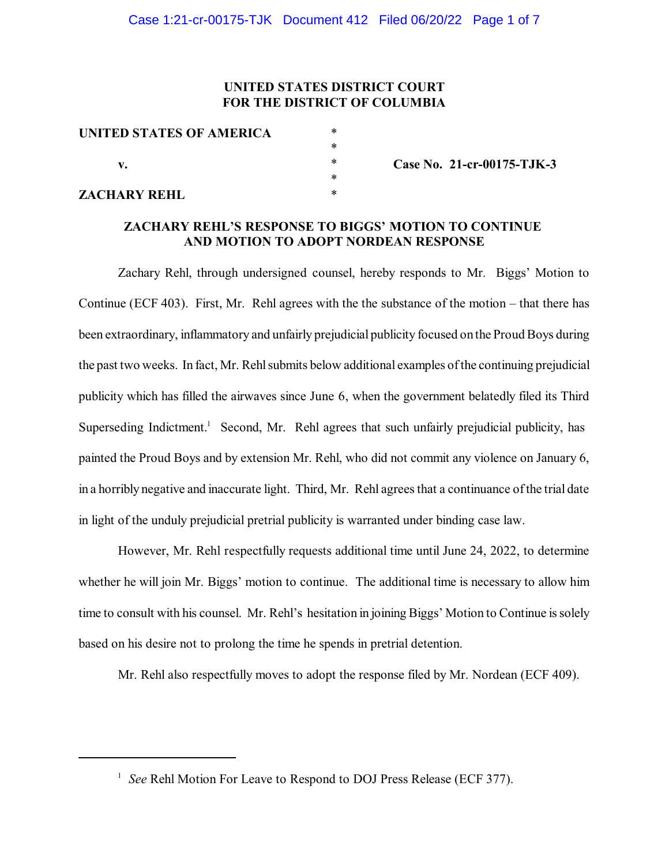# **UNITED STATES DISTRICT COURT FOR THE DISTRICT OF COLUMBIA**

| UNITED STATES OF AMERICA | *         |
|--------------------------|-----------|
|                          | *         |
| v.                       | *         |
|                          | $^{\ast}$ |
| <b>ZACHARY REHL</b>      | $^{\ast}$ |

**Case No. 21-cr-00175-TJK-3**

### **ZACHARY REHL'S RESPONSE TO BIGGS' MOTION TO CONTINUE AND MOTION TO ADOPT NORDEAN RESPONSE**

Zachary Rehl, through undersigned counsel, hereby responds to Mr. Biggs' Motion to Continue (ECF 403). First, Mr. Rehl agrees with the the substance of the motion – that there has been extraordinary, inflammatory and unfairly prejudicial publicity focused on the Proud Boys during the past two weeks. In fact, Mr. Rehl submits below additional examples of the continuing prejudicial publicity which has filled the airwaves since June 6, when the government belatedly filed its Third Superseding Indictment.<sup>1</sup> Second, Mr. Rehl agrees that such unfairly prejudicial publicity, has painted the Proud Boys and by extension Mr. Rehl, who did not commit any violence on January 6, in a horribly negative and inaccurate light. Third, Mr. Rehl agreesthat a continuance ofthe trial date in light of the unduly prejudicial pretrial publicity is warranted under binding case law.

However, Mr. Rehl respectfully requests additional time until June 24, 2022, to determine whether he will join Mr. Biggs' motion to continue. The additional time is necessary to allow him time to consult with his counsel. Mr. Rehl's hesitation in joining Biggs' Motion to Continue is solely based on his desire not to prolong the time he spends in pretrial detention.

Mr. Rehl also respectfully moves to adopt the response filed by Mr. Nordean (ECF 409).

<sup>&</sup>lt;sup>1</sup> See Rehl Motion For Leave to Respond to DOJ Press Release (ECF 377).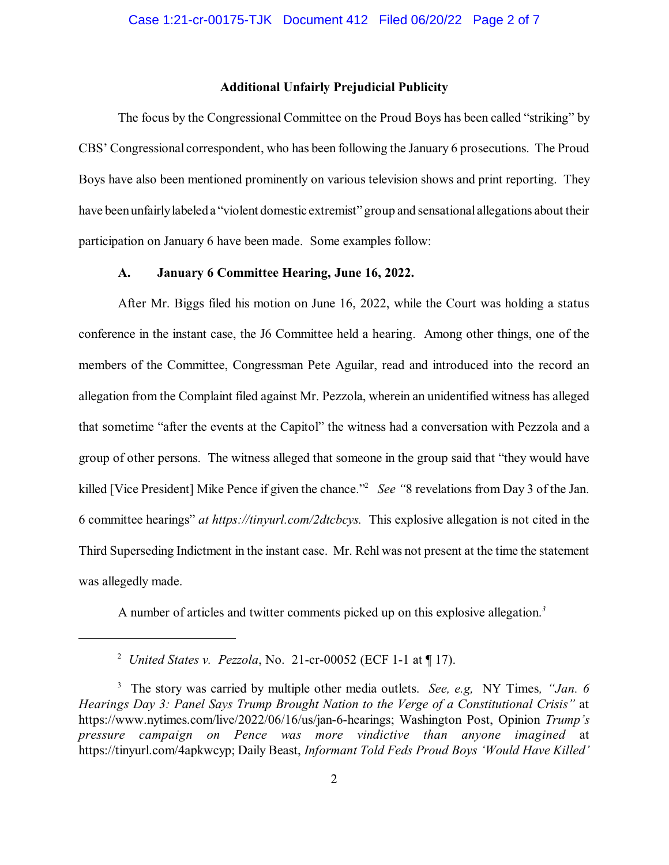### **Additional Unfairly Prejudicial Publicity**

The focus by the Congressional Committee on the Proud Boys has been called "striking" by CBS' Congressional correspondent, who has been following the January 6 prosecutions. The Proud Boys have also been mentioned prominently on various television shows and print reporting. They have been unfairly labeled a "violent domestic extremist" group and sensational allegations about their participation on January 6 have been made. Some examples follow:

## **A. January 6 Committee Hearing, June 16, 2022.**

After Mr. Biggs filed his motion on June 16, 2022, while the Court was holding a status conference in the instant case, the J6 Committee held a hearing. Among other things, one of the members of the Committee, Congressman Pete Aguilar, read and introduced into the record an allegation from the Complaint filed against Mr. Pezzola, wherein an unidentified witness has alleged that sometime "after the events at the Capitol" the witness had a conversation with Pezzola and a group of other persons. The witness alleged that someone in the group said that "they would have killed [Vice President] Mike Pence if given the chance."<sup>2</sup> See "8 revelations from Day 3 of the Jan. 6 committee hearings" *at https://tinyurl.com/2dtcbcys.* This explosive allegation is not cited in the Third Superseding Indictment in the instant case. Mr. Rehl was not present at the time the statement was allegedly made.

A number of articles and twitter comments picked up on this explosive allegation. *3*

*United States v. Pezzola*, No. 21-cr-00052 (ECF 1-1 at ¶ 17). <sup>2</sup>

The story was carried by multiple other media outlets. *See, e.g,* NY Times*, "Jan. 6* 3 *Hearings Day 3: Panel Says Trump Brought Nation to the Verge of a Constitutional Crisis"* at https://www.nytimes.com/live/2022/06/16/us/jan-6-hearings; Washington Post, Opinion *Trump's pressure campaign on Pence was more vindictive than anyone imagined* at https://tinyurl.com/4apkwcyp; Daily Beast, *Informant Told Feds Proud Boys 'Would Have Killed'*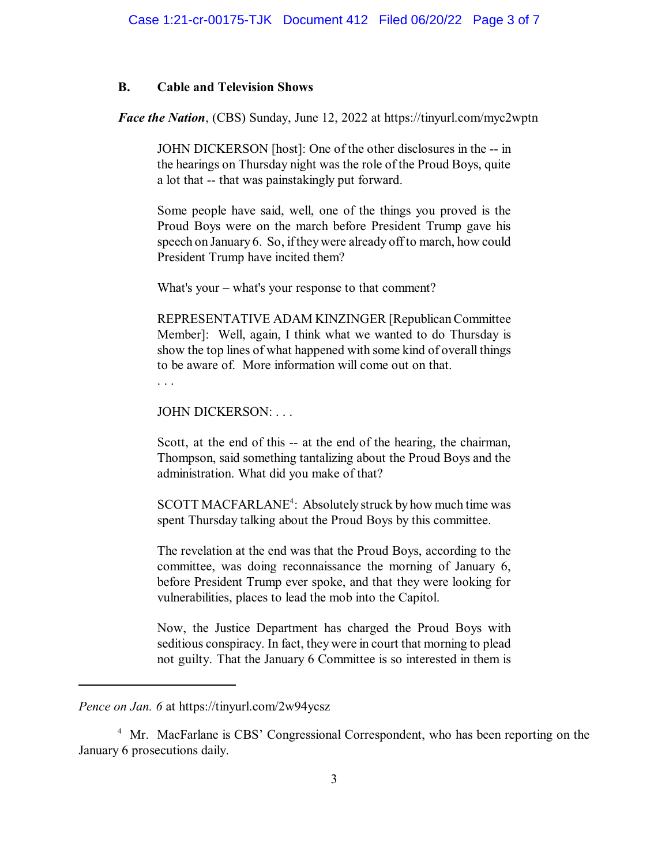### **B. Cable and Television Shows**

*Face the Nation*, (CBS) Sunday, June 12, 2022 at https://tinyurl.com/myc2wptn

JOHN DICKERSON [host]: One of the other disclosures in the -- in the hearings on Thursday night was the role of the Proud Boys, quite a lot that -- that was painstakingly put forward.

Some people have said, well, one of the things you proved is the Proud Boys were on the march before President Trump gave his speech on January 6. So, if they were already off to march, how could President Trump have incited them?

What's your – what's your response to that comment?

REPRESENTATIVE ADAM KINZINGER [RepublicanCommittee Member]: Well, again, I think what we wanted to do Thursday is show the top lines of what happened with some kind of overall things to be aware of. More information will come out on that.

. . .

JOHN DICKERSON: . . .

Scott, at the end of this -- at the end of the hearing, the chairman, Thompson, said something tantalizing about the Proud Boys and the administration. What did you make of that?

SCOTT MACFARLANE<sup>4</sup>: Absolutely struck by how much time was spent Thursday talking about the Proud Boys by this committee.

The revelation at the end was that the Proud Boys, according to the committee, was doing reconnaissance the morning of January 6, before President Trump ever spoke, and that they were looking for vulnerabilities, places to lead the mob into the Capitol.

Now, the Justice Department has charged the Proud Boys with seditious conspiracy. In fact, they were in court that morning to plead not guilty. That the January 6 Committee is so interested in them is

<sup>4</sup> Mr. MacFarlane is CBS' Congressional Correspondent, who has been reporting on the January 6 prosecutions daily.

*Pence on Jan. 6* at https://tinyurl.com/2w94ycsz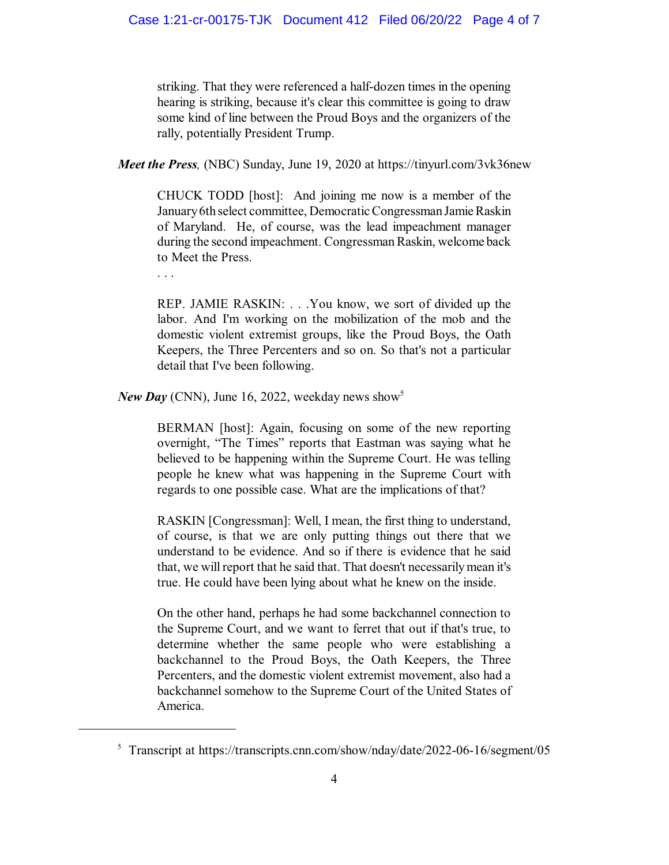striking. That they were referenced a half-dozen times in the opening hearing is striking, because it's clear this committee is going to draw some kind of line between the Proud Boys and the organizers of the rally, potentially President Trump.

*Meet the Press,* (NBC) Sunday, June 19, 2020 at https://tinyurl.com/3vk36new

CHUCK TODD [host]: And joining me now is a member of the January6th select committee, Democratic Congressman Jamie Raskin of Maryland. He, of course, was the lead impeachment manager during the second impeachment. Congressman Raskin, welcome back to Meet the Press.

. . .

REP. JAMIE RASKIN: . . .You know, we sort of divided up the labor. And I'm working on the mobilization of the mob and the domestic violent extremist groups, like the Proud Boys, the Oath Keepers, the Three Percenters and so on. So that's not a particular detail that I've been following.

*New Day* (CNN), June 16, 2022, weekday news show 5

BERMAN [host]: Again, focusing on some of the new reporting overnight, "The Times" reports that Eastman was saying what he believed to be happening within the Supreme Court. He was telling people he knew what was happening in the Supreme Court with regards to one possible case. What are the implications of that?

RASKIN [Congressman]: Well, I mean, the first thing to understand, of course, is that we are only putting things out there that we understand to be evidence. And so if there is evidence that he said that, we will report that he said that. That doesn't necessarily mean it's true. He could have been lying about what he knew on the inside.

On the other hand, perhaps he had some backchannel connection to the Supreme Court, and we want to ferret that out if that's true, to determine whether the same people who were establishing a backchannel to the Proud Boys, the Oath Keepers, the Three Percenters, and the domestic violent extremist movement, also had a backchannel somehow to the Supreme Court of the United States of America.

 $5$  Transcript at https://transcripts.cnn.com/show/nday/date/2022-06-16/segment/05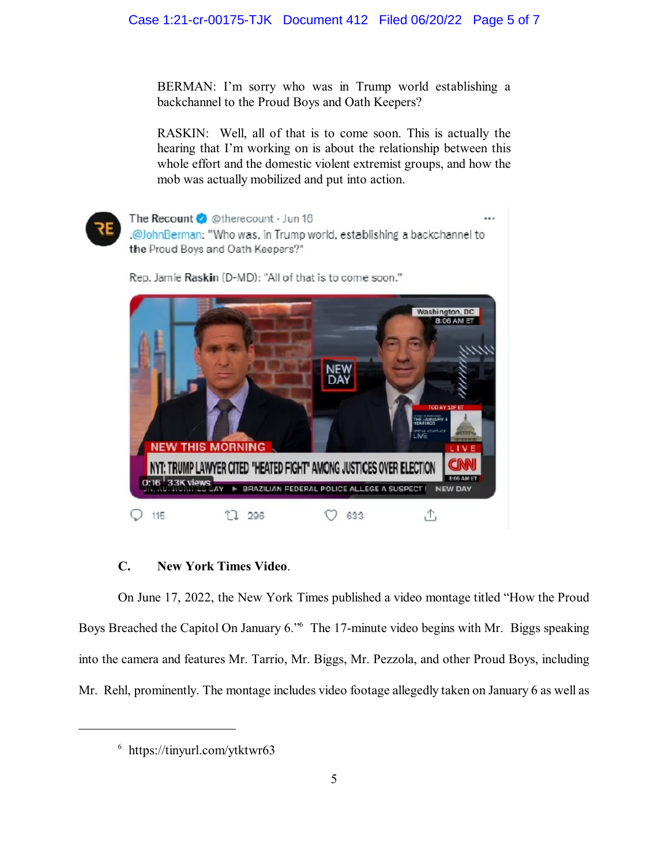BERMAN: I'm sorry who was in Trump world establishing a backchannel to the Proud Boys and Oath Keepers?

RASKIN: Well, all of that is to come soon. This is actually the hearing that I'm working on is about the relationship between this whole effort and the domestic violent extremist groups, and how the mob was actually mobilized and put into action.



The Recount & @therecount · Jun 16 .@JohnBerman: "Who was, in Trump world, establishing a backchannel to the Proud Boys and Oath Keepers?" Rep. Jamie Raskin (D-MD): "All of that is to come soon."



## **C. New York Times Video**.

On June 17, 2022, the New York Times published a video montage titled "How the Proud Boys Breached the Capitol On January 6." The 17-minute video begins with Mr. Biggs speaking into the camera and features Mr. Tarrio, Mr. Biggs, Mr. Pezzola, and other Proud Boys, including Mr. Rehl, prominently. The montage includes video footage allegedly taken on January 6 as well as

 $6$  https://tinyurl.com/ytktwr63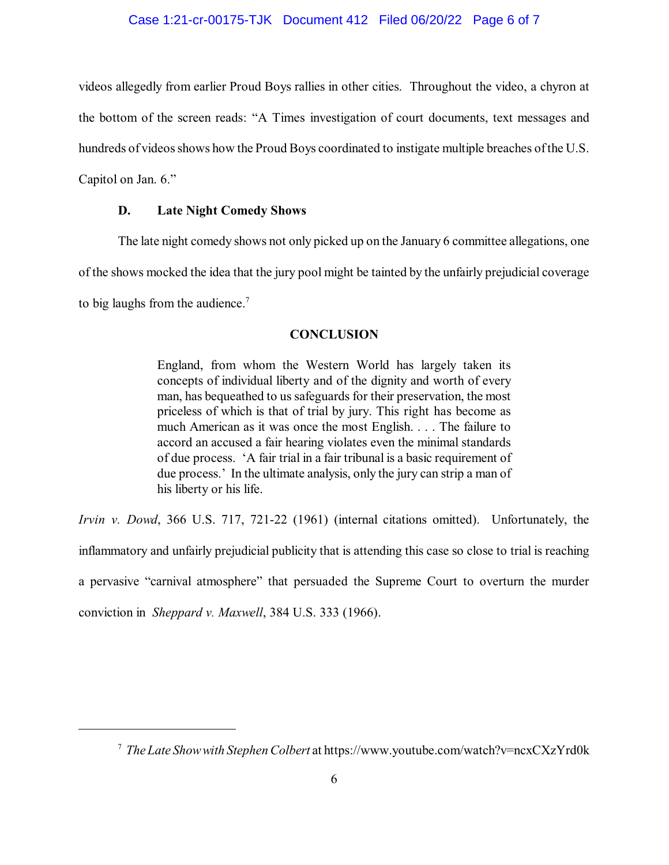### Case 1:21-cr-00175-TJK Document 412 Filed 06/20/22 Page 6 of 7

videos allegedly from earlier Proud Boys rallies in other cities. Throughout the video, a chyron at the bottom of the screen reads: "A Times investigation of court documents, text messages and hundreds of videos shows how the Proud Boys coordinated to instigate multiple breaches of the U.S. Capitol on Jan. 6."

### **D. Late Night Comedy Shows**

The late night comedy shows not only picked up on the January 6 committee allegations, one of the shows mocked the idea that the jury pool might be tainted by the unfairly prejudicial coverage to big laughs from the audience.<sup>7</sup>

#### **CONCLUSION**

England, from whom the Western World has largely taken its concepts of individual liberty and of the dignity and worth of every man, has bequeathed to us safeguards for their preservation, the most priceless of which is that of trial by jury. This right has become as much American as it was once the most English. . . . The failure to accord an accused a fair hearing violates even the minimal standards of due process. 'A fair trial in a fair tribunal is a basic requirement of due process.' In the ultimate analysis, only the jury can strip a man of his liberty or his life.

*Irvin v. Dowd*, 366 U.S. 717, 721-22 (1961) (internal citations omitted). Unfortunately, the inflammatory and unfairly prejudicial publicity that is attending this case so close to trial is reaching a pervasive "carnival atmosphere" that persuaded the Supreme Court to overturn the murder conviction in *Sheppard v. Maxwell*, 384 U.S. 333 (1966).

*The Late Showwith Stephen Colbert* at https://www.youtube.com/watch?v=ncxCXzYrd0k <sup>7</sup>